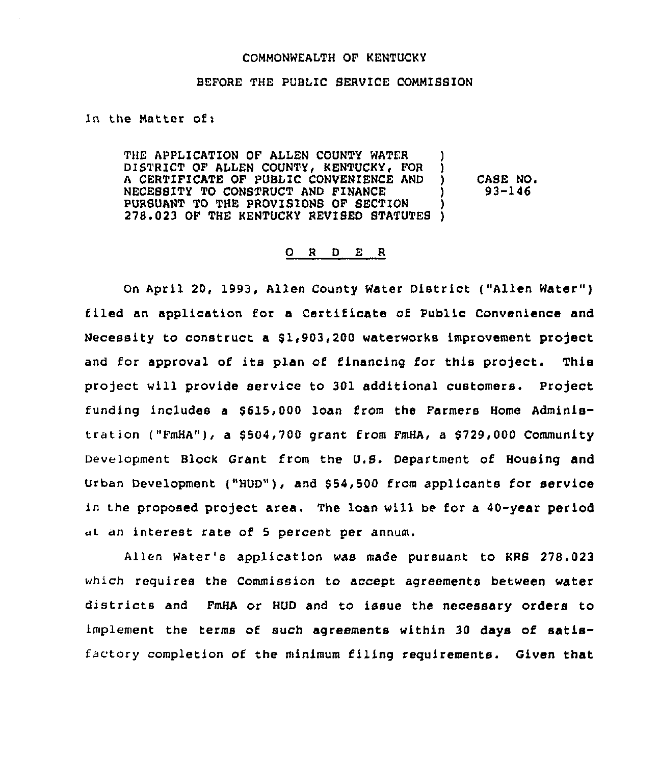## COMMONWEALTH OF KENTUCKY

## BEFORE THE PUBLIC SERVICE COMMISSION

In the Matter of:

THE APPLICATION OF ALLEN COUNTY WATER (1)<br>DISTRICT OF ALLEN COUNTY, KENTUCKY, FOR (1) DISTRICT OF ALLEN COUNTY, KENTUCKY, FOR )<br>A CERTIFICATE OF PUBLIC CONVENIENCE AND ) <sup>A</sup> CERTIFICATE OF PUBLIC CONVENIENCE AND ) NECESSITY TO CONSTRUCT AND FINANCE ) PURSUANT TO THE PROVISIONS OF SECTION 278.023 OF THE KENTUCKY REVIBED STATUTES ) CASE NO. 93-146

## 0 <sup>R</sup> <sup>D</sup> E <sup>R</sup>

On April 20, 1993, Allen County Water District ("Allen Water" ) filed an application for a Certificate of Public Convenience and Necessity to construct a \$1,903,200 waterworks improvement project and for approval of its plan of financing for this project. This project will provide service to 301 additional customers. Project funding includes a \$615,000 loan from the Farmers Home Administration ("FmHA"), a \$504,700 grant from FmHA, a \$729,000 Community Development Block Grant from the U.S. Department of Housing and Urban Development ("HUD"), and \$ 54,500 from applicants for service in the proposed project area, The loan will be for a 40-year period ut. an interest rate of 5 percent per annum.

Allen Water's application was made pursuant to KRS 278.023 which requires the Commission to accept agreements between water districts and FmHA or HUD and to issue the necessary orders to implement the terms of such agreements within 30 days of satisfactory completion of the minimum filing requirements. Given that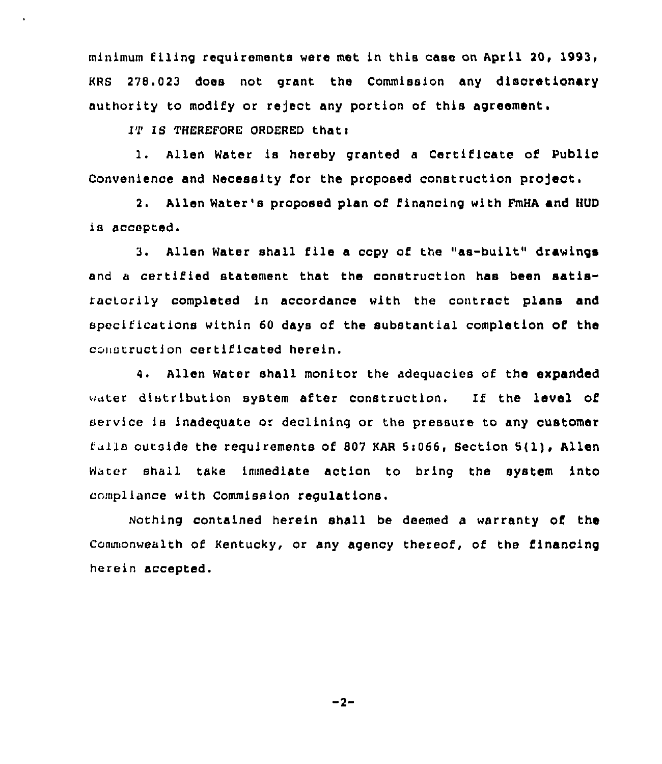minimum filing requirements were met in this case on April 20, 278. 023 does not grant the Commission any discretionary authority to modify or reject any portion of this agreement.

 $IP$  is THEREFORE ORDERED that:

l. Allen Water ls hereby granted <sup>a</sup> Certificate of Public Convenience and Necessity for the proposed construction project.

2. Allen Water's proposed plan of financing with FmHA and HUD is accepted.

3. Allen Water shall file a copy of the "as-built" drawings and a certified statement that the construction has been satisfactorily completed ln accordance with the contract plans and specifications within 60 days of the substantial completion of the conutruction certificated herein.

4. Allen Water shall monitor the adequacies of the expanded water distribution system after construction. If the level of service is inadequate or declining or the pressure to any customer falls outside the requirements of 807 KAR 5:066, Section 5(1), Allen Water shall take immediate action to bring the system into compl lance with Commission regulations.

Nothing contained herein shall be deemed a warranty of the Commonwealth of Kentucky, or any agency thereof, of the financing herein accepted.

 $-2-$